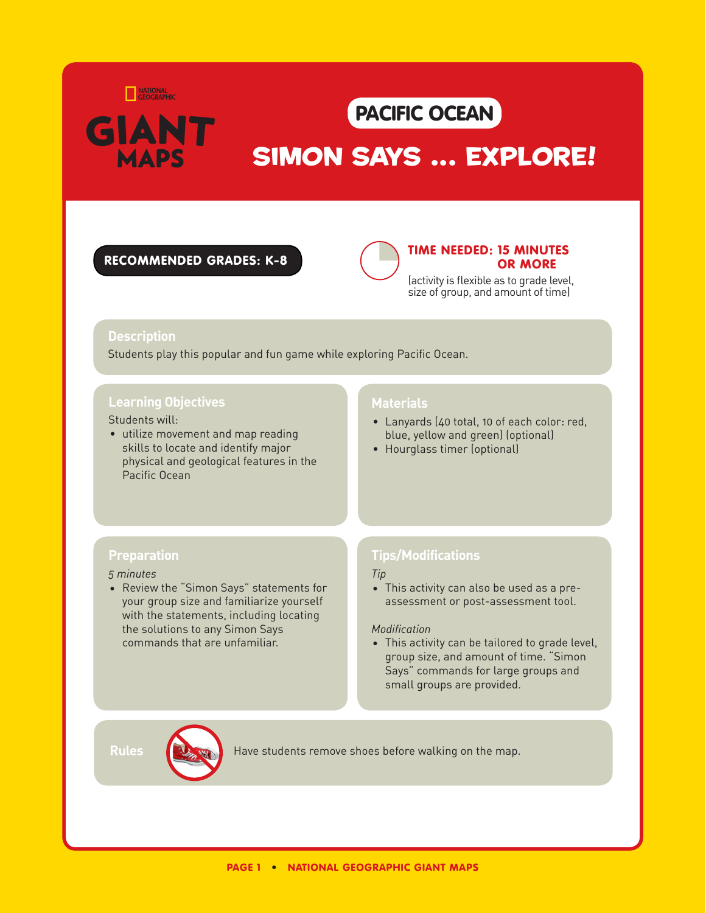

## PACIFIC O

# SIMON SAYS ... EXPLORE!

### recommended grades: K-8



### time needed: 15 MINUTES OR MORE

(activity is flexible as to grade level, size of group, and amount of time)

## **Description**

Students play this popular and fun game while exploring Pacific Ocean.

## **Learning Objectives**

### Students will:

• utilize movement and map reading skills to locate and identify major physical and geological features in the Pacific Ocean

## **Materials**

- Lanyards (40 total, 10 of each color: red, blue, yellow and green) (optional)
- Hourglass timer (optional)

## **Preparation**

#### *5 minutes*

• Review the "Simon Says" statements for your group size and familiarize yourself with the statements, including locating the solutions to any Simon Says commands that are unfamiliar.

## **Tips/Modifications**

#### *Tip*

• This activity can also be used as a preassessment or post-assessment tool.

#### *Modification*

• This activity can be tailored to grade level, group size, and amount of time. "Simon Says" commands for large groups and small groups are provided.

**Rules Have students remove shoes before walking on the map.**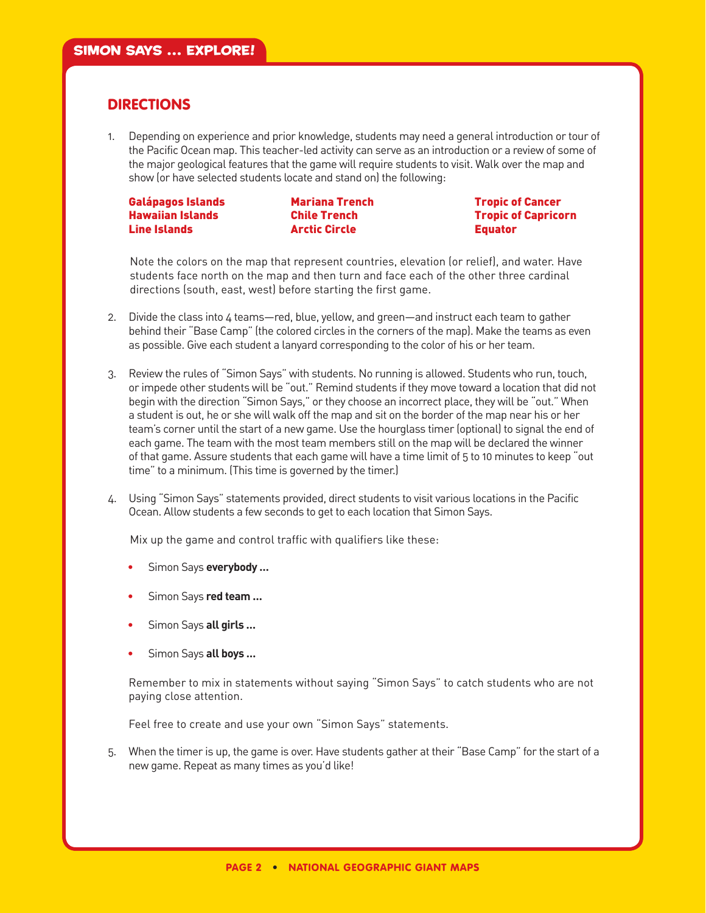## **DIRECTIONS**

1. Depending on experience and prior knowledge, students may need a general introduction or tour of the Pacific Ocean map. This teacher-led activity can serve as an introduction or a review of some of the major geological features that the game will require students to visit. Walk over the map and show (or have selected students locate and stand on) the following:

Galápagos Islands Hawaiian Islands Line Islands

Mariana Trench Chile Trench Arctic Circle

Tropic of Cancer Tropic of Capricorn Equator

Note the colors on the map that represent countries, elevation (or relief), and water. Have students face north on the map and then turn and face each of the other three cardinal directions (south, east, west) before starting the first game.

- 2. Divide the class into 4 teams—red, blue, yellow, and green—and instruct each team to gather behind their "Base Camp" (the colored circles in the corners of the map). Make the teams as even as possible. Give each student a lanyard corresponding to the color of his or her team.
- 3. Review the rules of "Simon Says" with students. No running is allowed. Students who run, touch, or impede other students will be "out." Remind students if they move toward a location that did not begin with the direction "Simon Says," or they choose an incorrect place, they will be "out." When a student is out, he or she will walk off the map and sit on the border of the map near his or her team's corner until the start of a new game. Use the hourglass timer (optional) to signal the end of each game. The team with the most team members still on the map will be declared the winner of that game. Assure students that each game will have a time limit of 5 to 10 minutes to keep "out time" to a minimum. (This time is governed by the timer.)
- 4. Using "Simon Says" statements provided, direct students to visit various locations in the Pacific Ocean. Allow students a few seconds to get to each location that Simon Says.

Mix up the game and control traffic with qualifiers like these:

- Simon Says **everybody …**
- Simon Says **red team …**
- Simon Says **all girls …**
- Simon Says **all boys …**

Remember to mix in statements without saying "Simon Says" to catch students who are not paying close attention.

Feel free to create and use your own "Simon Says" statements.

5. When the timer is up, the game is over. Have students gather at their "Base Camp" for the start of a new game. Repeat as many times as you'd like!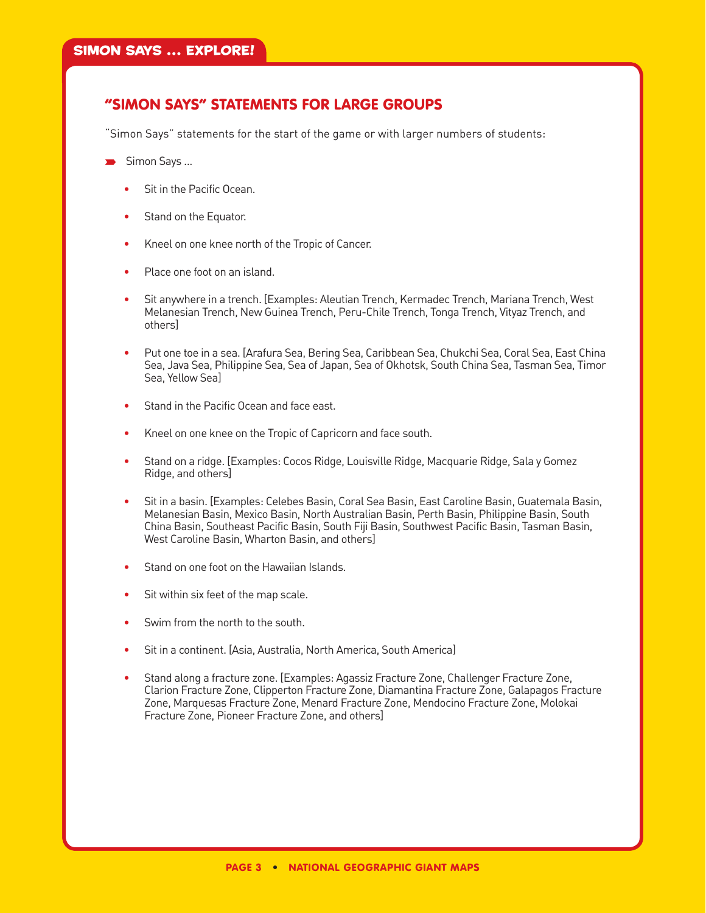## "SIMON SAYS" STATEMENTS FOR LARGE GROUPS

"Simon Says" statements for the start of the game or with larger numbers of students:

- $\blacktriangleright$  Simon Says ...
	- Sit in the Pacific Ocean.
	- Stand on the Equator.
	- Kneel on one knee north of the Tropic of Cancer.
	- Place one foot on an island.
	- Sit anywhere in a trench. [Examples: Aleutian Trench, Kermadec Trench, Mariana Trench, West Melanesian Trench, New Guinea Trench, Peru-Chile Trench, Tonga Trench, Vityaz Trench, and others]
	- Put one toe in a sea. [Arafura Sea, Bering Sea, Caribbean Sea, Chukchi Sea, Coral Sea, East China Sea, Java Sea, Philippine Sea, Sea of Japan, Sea of Okhotsk, South China Sea, Tasman Sea, Timor Sea, Yellow Sea]
	- Stand in the Pacific Ocean and face east.
	- Kneel on one knee on the Tropic of Capricorn and face south.
	- Stand on a ridge. [Examples: Cocos Ridge, Louisville Ridge, Macquarie Ridge, Sala y Gomez Ridge, and others]
	- Sit in a basin. [Examples: Celebes Basin, Coral Sea Basin, East Caroline Basin, Guatemala Basin, Melanesian Basin, Mexico Basin, North Australian Basin, Perth Basin, Philippine Basin, South China Basin, Southeast Pacific Basin, South Fiji Basin, Southwest Pacific Basin, Tasman Basin, West Caroline Basin, Wharton Basin, and others]
	- Stand on one foot on the Hawaiian Islands.
	- Sit within six feet of the map scale.
	- Swim from the north to the south.
	- Sit in a continent. [Asia, Australia, North America, South America]
	- Stand along a fracture zone. [Examples: Agassiz Fracture Zone, Challenger Fracture Zone, Clarion Fracture Zone, Clipperton Fracture Zone, Diamantina Fracture Zone, Galapagos Fracture Zone, Marquesas Fracture Zone, Menard Fracture Zone, Mendocino Fracture Zone, Molokai Fracture Zone, Pioneer Fracture Zone, and others]